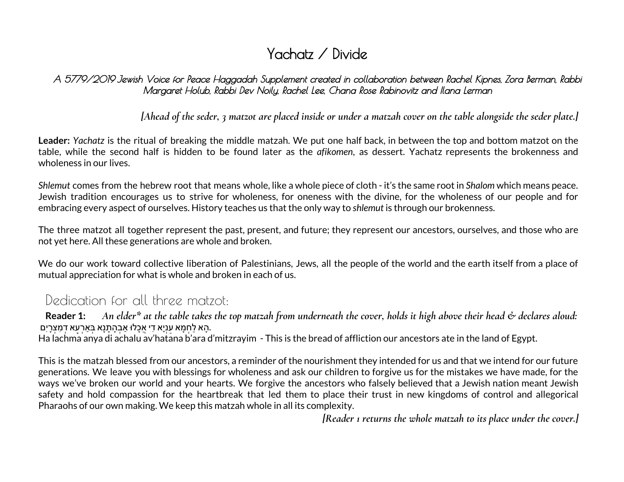# Yachatz / Divide

A 5779/2019 Jewish Voice for Peace Haggadah Supplement created in collaboration between Rachel Kipnes, Zora Berman, Rabbi Margaret Holub, Rabbi Dev Noily, Rachel Lee, Chana Rose Rabinovitz and Ilana Lerman

[Ahead of the seder, 3 matzot are placed inside or under a matzah cover on the table alongside the seder plate.]

**Leader:** *Yachatz* is the ritual of breaking the middle matzah. We put one half back, in between the top and bottom matzot on the table, while the second half is hidden to be found later as the *afikomen*, as dessert. Yachatz represents the brokenness and wholeness in our lives.

*Shlemut* comes from the hebrew root that means whole, like a whole piece of cloth - it's the same root in *Shalom* which means peace. Jewish tradition encourages us to strive for wholeness, for oneness with the divine, for the wholeness of our people and for embracing every aspect of ourselves. History teaches us that the only way to *shlemut* is through our brokenness.

The three matzot all together represent the past, present, and future; they represent our ancestors, ourselves, and those who are not yet here. All these generations are whole and broken.

We do our work toward collective liberation of Palestinians, Jews, all the people of the world and the earth itself from a place of mutual appreciation for what is whole and broken in each of us.

## Dedication for all three matzot:

Reader 1: An elder\* at the table takes the top matzah from underneath the cover, holds it high above their head  $\phi$  declares aloud: ָהא לחמא עניא די אכלוּ אַבהתנא בּארעא דמצרים.

Ha lachma anya di achalu av'hatana b'ara d'mitzrayim - This is the bread of affliction our ancestors ate in the land of Egypt.

This is the matzah blessed from our ancestors, a reminder of the nourishment they intended for us and that we intend for our future generations. We leave you with blessings for wholeness and ask our children to forgive us for the mistakes we have made, for the ways we've broken our world and your hearts. We forgive the ancestors who falsely believed that a Jewish nation meant Jewish safety and hold compassion for the heartbreak that led them to place their trust in new kingdoms of control and allegorical Pharaohs of our own making. We keep this matzah whole in all its complexity.

*[Reader 1 returns the whole matzah to its place under the cover.]*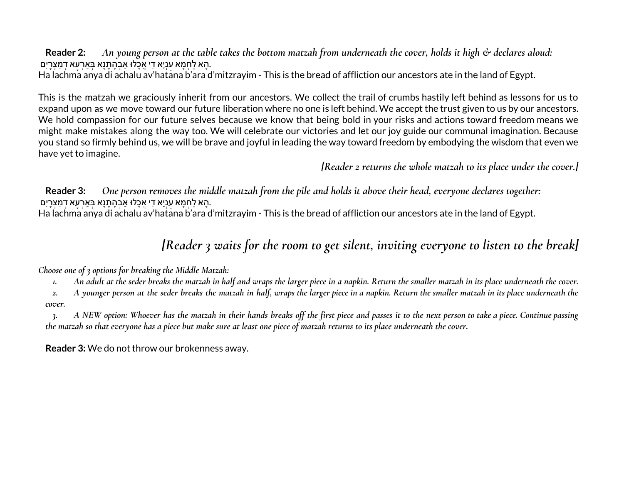**Reader 2:** An young person at the table takes the bottom matzah from underneath the cover, holds it high  $\phi$  declares aloud: ָהא לחמא עניא די אכלוּ אַבהתנא בּארעא דמצרים.

Ha lachma anya di achalu av'hatana b'ara d'mitzrayim - This is the bread of affliction our ancestors ate in the land of Egypt.

This is the matzah we graciously inherit from our ancestors. We collect the trail of crumbs hastily left behind as lessons for us to expand upon as we move toward our future liberation where no one is left behind. We accept the trust given to us by our ancestors. We hold compassion for our future selves because we know that being bold in your risks and actions toward freedom means we might make mistakes along the way too. We will celebrate our victories and let our joy guide our communal imagination. Because you stand so firmly behind us, we will be brave and joyful in leading the way toward freedom by embodying the wisdom that even we have yet to imagine.

*[Reader 2 returns the whole matzah to its place under the cover.]*

Reader 3: One person removes the middle matzah from the pile and holds it above their head, everyone declares together: ָהא לחמא עניא די אכלוּ אַבהתנא בּארעא דמצרים. Ha lachma anya di achalu av'hatana b'ara d'mitzrayim - This is the bread of affliction our ancestors ate in the land of Egypt.

## *[Reader 3 waits for the room to get silent, inviting everyone to listen to the break]*

*Choose one of 3 options for breaking the Middle Matzah:*

1. An adult at the seder breaks the matzah in half and wraps the larger piece in a napkin. Return the smaller matzah in its place underneath the cover.

2. A younger person at the seder breaks the matzah in half, wraps the larger piece in a napkin. Return the smaller matzah in its place underneath the *cover.*

3. A NEW option: Whoever has the matzah in their hands breaks off the first piece and passes it to the next person to take a piece. Continue passing the matzah so that everyone has a piece but make sure at least one piece of matzah returns to its place underneath the cover.

**Reader 3:** We do not throw our brokenness away.